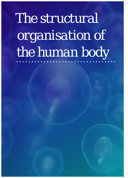## *The structural organisation of the human body*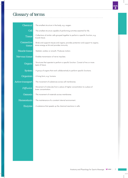. . . . . . . . . . . . . .

## *Glossary of terms*

| <b>Chemical</b>             | - The smallest structure in the body, e.g. oxygen.                                                                                 |  |  |
|-----------------------------|------------------------------------------------------------------------------------------------------------------------------------|--|--|
| <b>Cell</b>                 | - The smallest structure capable of performing activities essential for life.                                                      |  |  |
| <b>Tissue</b>               | - Collections of similar cells grouped together to perform a specific function, e.g.<br>muscle tissue.                             |  |  |
| <b>Connective</b><br>tissue | - Binds and supports tissues and organs; provides protection and support to organs;<br>stores energy as fat and provides immunity. |  |  |
| <b>Muscle tissue</b>        | - Skeletal, cardiac or smooth. Produces motion.                                                                                    |  |  |
| <b>Nervous tissue</b>       | - Enables transmission of nerve impulses.                                                                                          |  |  |
| <b>Organs</b>               | - Structures that operate to perform a specific function. Consist of two or more<br>types of tissue.                               |  |  |
| <b>System</b>               | - A group of organs that work collaboratively to perform specific functions.                                                       |  |  |
| <b>Organism</b>             | - A living form, e.g. humans.                                                                                                      |  |  |
| <b>Active transport</b>     | - The movement of substances across cell membranes.                                                                                |  |  |
| Diffusion                   | - Movement of molecules from a place of higher concentration to a place of<br>lower concentration.                                 |  |  |
| <b>Osmosis</b>              | - The movement of materials across membranes.                                                                                      |  |  |
| <b>Homeostasis</b>          | - The maintenance of a constant internal environment.                                                                              |  |  |
| <i>Enzyme</i>               | - A substance that speeds up the chemical reactions in cells.                                                                      |  |  |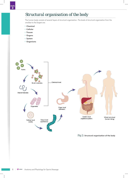## *Structural organisation of the body*

 $\sim$ The human body consists of several layers of structural organisation. The levels of structural organisation from the smallest to the largest are:

- Chemical
- Cellular
- Tissues
- Organs
- System
- Organisms



*Fig 2:* Structural organisation of the body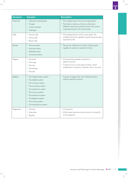| <b>Structures</b> | <b>Examples</b>                                                                                                                                                                                                                                                       | <b>Description</b>                                                                                                                                                                       |  |
|-------------------|-----------------------------------------------------------------------------------------------------------------------------------------------------------------------------------------------------------------------------------------------------------------------|------------------------------------------------------------------------------------------------------------------------------------------------------------------------------------------|--|
| Chemical          | • Adenosine triphosphate<br>• Oxygen<br>• Carbon dioxide<br>• Hydrogen                                                                                                                                                                                                | • The smallest layer of structural organisation.<br>• The body is made up of various chemicals.<br>Different chemicals combine to form the various<br>molecules found in the human body. |  |
| Cells             | • Muscle cells<br>• Nerve cells<br>• Blood cells                                                                                                                                                                                                                      | • The building blocks of the human body. The<br>smallest structures capable of performing activities<br>essential for life.                                                              |  |
| Tissues           | • Nervous tissue<br>• Muscular tissue<br>• Epithelial tissue<br>• Connective tissue                                                                                                                                                                                   | • Tissues are collections of similar cells grouped<br>together to perform a specific function.                                                                                           |  |
| Organs            | • The heart<br>• The lungs<br>• The liver<br>• The kidneys<br>• The skin                                                                                                                                                                                              | • Structures that operate to perform a<br>specific function.<br>• Consist of two or more types of tissue, which<br>enable them to perform a specific role or function.                   |  |
| Systems           | • The integumentary system<br>• The skeletal system<br>• The muscular system<br>• The circulatory system<br>• The respiratory system<br>• The nervous system<br>• The endocrine system<br>• The digestive system<br>• The urinary system<br>• The reproductive system | • A group of organs that work collaboratively to<br>perform specific functions.                                                                                                          |  |
| Organisms         | • Humans<br>• Mammals<br>• Reptiles                                                                                                                                                                                                                                   | • A living form.<br>• All the other body structures function to bring life<br>to the organism.                                                                                           |  |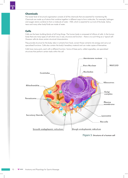The lowest level of structural organisation consists of all the chemicals that are essential for maintaining life. Chemicals are made up of atoms that combine together in different ways to form molecules. For example, hydrogen and oxygen atoms combine to from a molecule of water - H20, which is essential for survival of the body. Saliva, tears and many other body fluids are made of water.

## **Cells**

Cells are the basic building blocks of all living things. The human body is composed of trillions of cells. In the human body there are many types of cell which vary in size, structure and function – there is no such thing as a 'typical cell'. However cells do share certain structural characteristics.

They provide structure for the body, take in nutrients from food, convert those nutrients into energy and carry out specialised functions. Cells also contain the body's hereditary material and can make copies of themselves.

Cells have many parts, each with a different function. Some of these parts, called organelles, are specialised structures that perform certain tasks within the cell.



*Figure 3:* Structure of a human cell